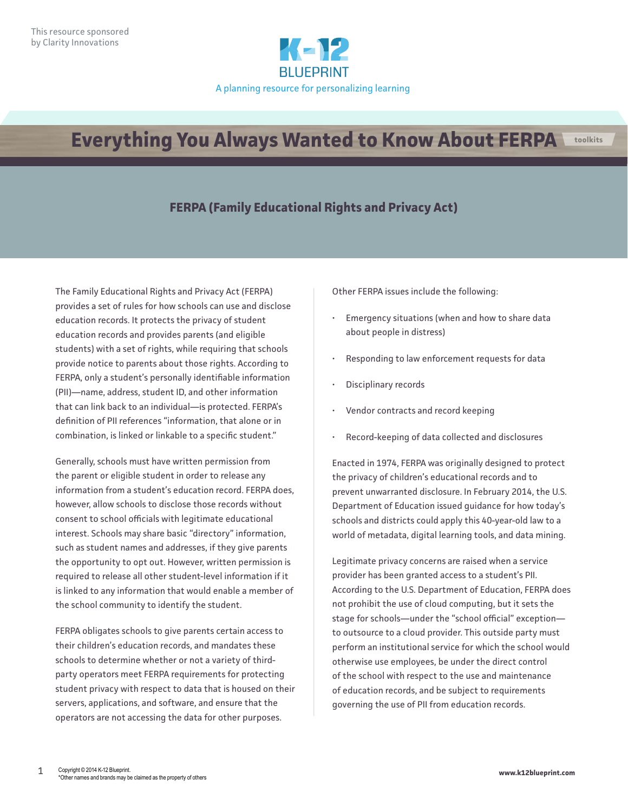

## **Everything You Always Wanted to Know About FERPA troolkits**

## **FERPA (Family Educational Rights and Privacy Act)**

The Family Educational Rights and Privacy Act (FERPA) provides a set of rules for how schools can use and disclose education records. It protects the privacy of student education records and provides parents (and eligible students) with a set of rights, while requiring that schools provide notice to parents about those rights. According to FERPA, only a student's personally identifiable information (PII)—name, address, student ID, and other information that can link back to an individual—is protected. FERPA's definition of PII references "information, that alone or in combination, is linked or linkable to a specific student."

Generally, schools must have written permission from the parent or eligible student in order to release any information from a student's education record. FERPA does, however, allow schools to disclose those records without consent to school officials with legitimate educational interest. Schools may share basic "directory" information, such as student names and addresses, if they give parents the opportunity to opt out. However, written permission is required to release all other student-level information if it is linked to any information that would enable a member of the school community to identify the student.

FERPA obligates schools to give parents certain access to their children's education records, and mandates these schools to determine whether or not a variety of thirdparty operators meet FERPA requirements for protecting student privacy with respect to data that is housed on their servers, applications, and software, and ensure that the operators are not accessing the data for other purposes.

Other FERPA issues include the following:

- Emergency situations (when and how to share data about people in distress)
- Responding to law enforcement requests for data
- Disciplinary records
- Vendor contracts and record keeping
- Record-keeping of data collected and disclosures

Enacted in 1974, FERPA was originally designed to protect the privacy of children's educational records and to prevent unwarranted disclosure. In February 2014, the U.S. Department of Education issued guidance for how today's schools and districts could apply this 40-year-old law to a world of metadata, digital learning tools, and data mining.

Legitimate privacy concerns are raised when a service provider has been granted access to a student's PII. According to the U.S. Department of Education, FERPA does not prohibit the use of cloud computing, but it sets the stage for schools—under the "school official" exception to outsource to a cloud provider. This outside party must perform an institutional service for which the school would otherwise use employees, be under the direct control of the school with respect to the use and maintenance of education records, and be subject to requirements governing the use of PII from education records.